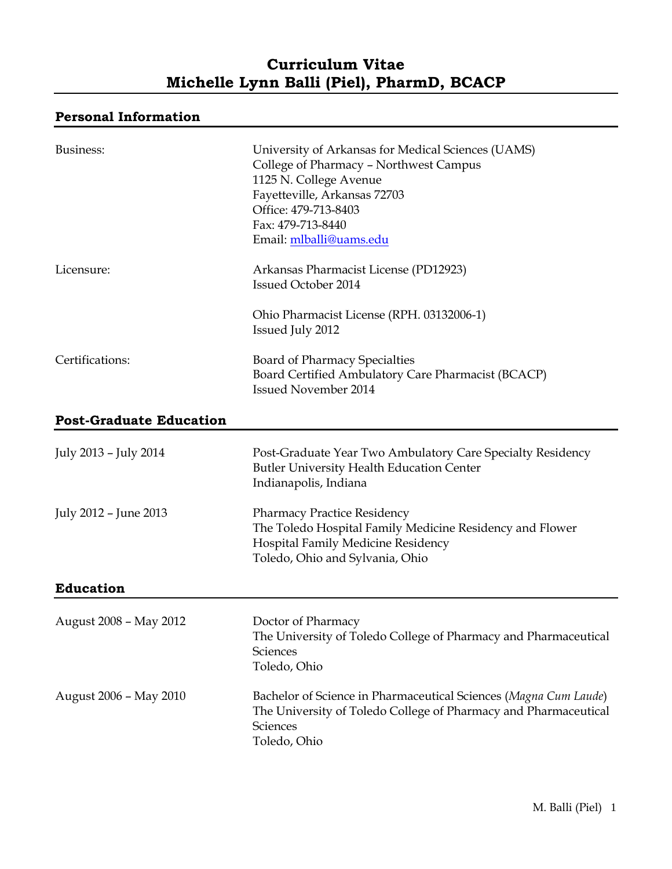# **Curriculum Vitae Michelle Lynn Balli (Piel), PharmD, BCACP**

## **Personal Information**

| Business:                      | University of Arkansas for Medical Sciences (UAMS)<br>College of Pharmacy - Northwest Campus<br>1125 N. College Avenue<br>Fayetteville, Arkansas 72703<br>Office: 479-713-8403<br>Fax: 479-713-8440<br>Email: mlballi@uams.edu |
|--------------------------------|--------------------------------------------------------------------------------------------------------------------------------------------------------------------------------------------------------------------------------|
| Licensure:                     | Arkansas Pharmacist License (PD12923)<br><b>Issued October 2014</b>                                                                                                                                                            |
|                                | Ohio Pharmacist License (RPH. 03132006-1)<br>Issued July 2012                                                                                                                                                                  |
| Certifications:                | <b>Board of Pharmacy Specialties</b><br>Board Certified Ambulatory Care Pharmacist (BCACP)<br><b>Issued November 2014</b>                                                                                                      |
| <b>Post-Graduate Education</b> |                                                                                                                                                                                                                                |
| July 2013 - July 2014          | Post-Graduate Year Two Ambulatory Care Specialty Residency<br><b>Butler University Health Education Center</b><br>Indianapolis, Indiana                                                                                        |
| July 2012 - June 2013          | <b>Pharmacy Practice Residency</b><br>The Toledo Hospital Family Medicine Residency and Flower<br>Hospital Family Medicine Residency<br>Toledo, Ohio and Sylvania, Ohio                                                        |
| <b>Education</b>               |                                                                                                                                                                                                                                |
| August 2008 - May 2012         | Doctor of Pharmacy<br>The University of Toledo College of Pharmacy and Pharmaceutical<br>Sciences<br>Toledo, Ohio                                                                                                              |
| August 2006 - May 2010         | Bachelor of Science in Pharmaceutical Sciences (Magna Cum Laude)<br>The University of Toledo College of Pharmacy and Pharmaceutical<br>Sciences<br>Toledo, Ohio                                                                |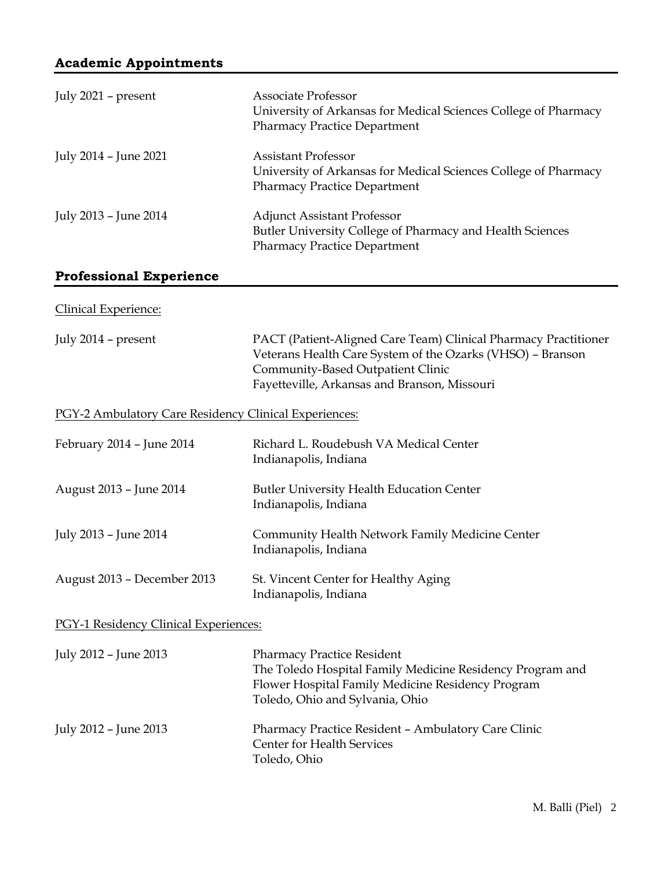| July 2021 - present                                   | <b>Associate Professor</b><br>University of Arkansas for Medical Sciences College of Pharmacy<br><b>Pharmacy Practice Department</b>                                                                               |  |
|-------------------------------------------------------|--------------------------------------------------------------------------------------------------------------------------------------------------------------------------------------------------------------------|--|
| July 2014 - June 2021                                 | <b>Assistant Professor</b><br>University of Arkansas for Medical Sciences College of Pharmacy<br><b>Pharmacy Practice Department</b>                                                                               |  |
| July 2013 - June 2014                                 | <b>Adjunct Assistant Professor</b><br>Butler University College of Pharmacy and Health Sciences<br><b>Pharmacy Practice Department</b>                                                                             |  |
| <b>Professional Experience</b>                        |                                                                                                                                                                                                                    |  |
| <b>Clinical Experience:</b>                           |                                                                                                                                                                                                                    |  |
| July 2014 - present                                   | PACT (Patient-Aligned Care Team) Clinical Pharmacy Practitioner<br>Veterans Health Care System of the Ozarks (VHSO) - Branson<br>Community-Based Outpatient Clinic<br>Fayetteville, Arkansas and Branson, Missouri |  |
| PGY-2 Ambulatory Care Residency Clinical Experiences: |                                                                                                                                                                                                                    |  |
| February 2014 - June 2014                             | Richard L. Roudebush VA Medical Center<br>Indianapolis, Indiana                                                                                                                                                    |  |
| August 2013 - June 2014                               | <b>Butler University Health Education Center</b><br>Indianapolis, Indiana                                                                                                                                          |  |
| July 2013 - June 2014                                 | Community Health Network Family Medicine Center<br>Indianapolis, Indiana                                                                                                                                           |  |
| August 2013 - December 2013                           | St. Vincent Center for Healthy Aging<br>Indianapolis, Indiana                                                                                                                                                      |  |
| PGY-1 Residency Clinical Experiences:                 |                                                                                                                                                                                                                    |  |
| July 2012 - June 2013                                 | <b>Pharmacy Practice Resident</b><br>The Toledo Hospital Family Medicine Residency Program and<br>Flower Hospital Family Medicine Residency Program<br>Toledo, Ohio and Sylvania, Ohio                             |  |
| July 2012 - June 2013                                 | Pharmacy Practice Resident - Ambulatory Care Clinic<br>Center for Health Services<br>Toledo, Ohio                                                                                                                  |  |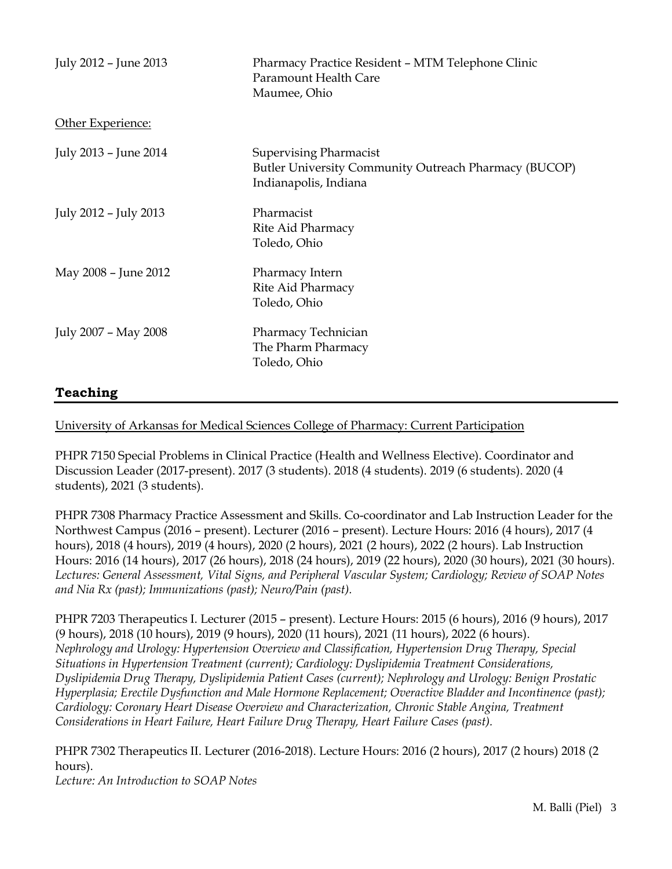| July 2012 - June 2013 | Pharmacy Practice Resident - MTM Telephone Clinic<br>Paramount Health Care<br>Maumee, Ohio                      |
|-----------------------|-----------------------------------------------------------------------------------------------------------------|
| Other Experience:     |                                                                                                                 |
| July 2013 - June 2014 | <b>Supervising Pharmacist</b><br>Butler University Community Outreach Pharmacy (BUCOP)<br>Indianapolis, Indiana |
| July 2012 - July 2013 | Pharmacist<br>Rite Aid Pharmacy<br>Toledo, Ohio                                                                 |
| May 2008 - June 2012  | Pharmacy Intern<br>Rite Aid Pharmacy<br>Toledo, Ohio                                                            |
| July 2007 - May 2008  | Pharmacy Technician<br>The Pharm Pharmacy<br>Toledo, Ohio                                                       |
|                       |                                                                                                                 |

## **Teaching**

University of Arkansas for Medical Sciences College of Pharmacy: Current Participation

PHPR 7150 Special Problems in Clinical Practice (Health and Wellness Elective). Coordinator and Discussion Leader (2017-present). 2017 (3 students). 2018 (4 students). 2019 (6 students). 2020 (4 students), 2021 (3 students).

PHPR 7308 Pharmacy Practice Assessment and Skills. Co-coordinator and Lab Instruction Leader for the Northwest Campus (2016 – present). Lecturer (2016 – present). Lecture Hours: 2016 (4 hours), 2017 (4 hours), 2018 (4 hours), 2019 (4 hours), 2020 (2 hours), 2021 (2 hours), 2022 (2 hours). Lab Instruction Hours: 2016 (14 hours), 2017 (26 hours), 2018 (24 hours), 2019 (22 hours), 2020 (30 hours), 2021 (30 hours). *Lectures: General Assessment, Vital Signs, and Peripheral Vascular System; Cardiology; Review of SOAP Notes and Nia Rx (past); Immunizations (past); Neuro/Pain (past).*

PHPR 7203 Therapeutics I. Lecturer (2015 – present). Lecture Hours: 2015 (6 hours), 2016 (9 hours), 2017 (9 hours), 2018 (10 hours), 2019 (9 hours), 2020 (11 hours), 2021 (11 hours), 2022 (6 hours). *Nephrology and Urology: Hypertension Overview and Classification, Hypertension Drug Therapy, Special Situations in Hypertension Treatment (current); Cardiology: Dyslipidemia Treatment Considerations, Dyslipidemia Drug Therapy, Dyslipidemia Patient Cases (current); Nephrology and Urology: Benign Prostatic Hyperplasia; Erectile Dysfunction and Male Hormone Replacement; Overactive Bladder and Incontinence (past); Cardiology: Coronary Heart Disease Overview and Characterization, Chronic Stable Angina, Treatment Considerations in Heart Failure, Heart Failure Drug Therapy, Heart Failure Cases (past).*

PHPR 7302 Therapeutics II. Lecturer (2016-2018). Lecture Hours: 2016 (2 hours), 2017 (2 hours) 2018 (2 hours).

*Lecture: An Introduction to SOAP Notes*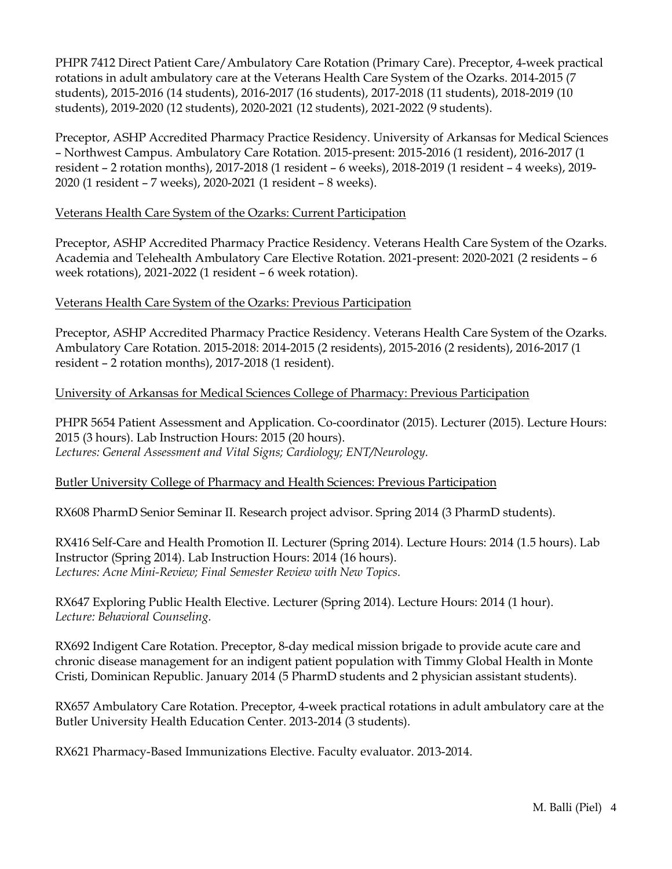PHPR 7412 Direct Patient Care/Ambulatory Care Rotation (Primary Care). Preceptor, 4-week practical rotations in adult ambulatory care at the Veterans Health Care System of the Ozarks. 2014-2015 (7 students), 2015-2016 (14 students), 2016-2017 (16 students), 2017-2018 (11 students), 2018-2019 (10 students), 2019-2020 (12 students), 2020-2021 (12 students), 2021-2022 (9 students).

Preceptor, ASHP Accredited Pharmacy Practice Residency. University of Arkansas for Medical Sciences – Northwest Campus. Ambulatory Care Rotation. 2015-present: 2015-2016 (1 resident), 2016-2017 (1 resident – 2 rotation months), 2017-2018 (1 resident – 6 weeks), 2018-2019 (1 resident – 4 weeks), 2019- 2020 (1 resident – 7 weeks), 2020-2021 (1 resident – 8 weeks).

#### Veterans Health Care System of the Ozarks: Current Participation

Preceptor, ASHP Accredited Pharmacy Practice Residency. Veterans Health Care System of the Ozarks. Academia and Telehealth Ambulatory Care Elective Rotation. 2021-present: 2020-2021 (2 residents – 6 week rotations), 2021-2022 (1 resident – 6 week rotation).

#### Veterans Health Care System of the Ozarks: Previous Participation

Preceptor, ASHP Accredited Pharmacy Practice Residency. Veterans Health Care System of the Ozarks. Ambulatory Care Rotation. 2015-2018: 2014-2015 (2 residents), 2015-2016 (2 residents), 2016-2017 (1 resident – 2 rotation months), 2017-2018 (1 resident).

## University of Arkansas for Medical Sciences College of Pharmacy: Previous Participation

PHPR 5654 Patient Assessment and Application. Co-coordinator (2015). Lecturer (2015). Lecture Hours: 2015 (3 hours). Lab Instruction Hours: 2015 (20 hours). *Lectures: General Assessment and Vital Signs; Cardiology; ENT/Neurology.*

## Butler University College of Pharmacy and Health Sciences: Previous Participation

RX608 PharmD Senior Seminar II. Research project advisor. Spring 2014 (3 PharmD students).

RX416 Self-Care and Health Promotion II. Lecturer (Spring 2014). Lecture Hours: 2014 (1.5 hours). Lab Instructor (Spring 2014). Lab Instruction Hours: 2014 (16 hours). *Lectures: Acne Mini-Review; Final Semester Review with New Topics.*

RX647 Exploring Public Health Elective. Lecturer (Spring 2014). Lecture Hours: 2014 (1 hour). *Lecture: Behavioral Counseling.*

RX692 Indigent Care Rotation. Preceptor, 8-day medical mission brigade to provide acute care and chronic disease management for an indigent patient population with Timmy Global Health in Monte Cristi, Dominican Republic. January 2014 (5 PharmD students and 2 physician assistant students).

RX657 Ambulatory Care Rotation. Preceptor, 4-week practical rotations in adult ambulatory care at the Butler University Health Education Center. 2013-2014 (3 students).

RX621 Pharmacy-Based Immunizations Elective. Faculty evaluator. 2013-2014.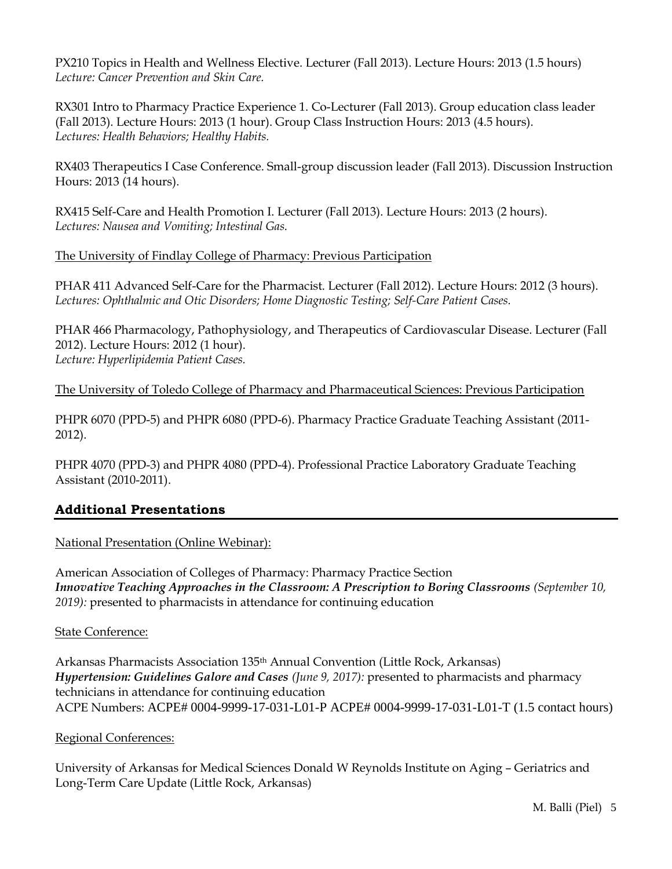PX210 Topics in Health and Wellness Elective. Lecturer (Fall 2013). Lecture Hours: 2013 (1.5 hours) *Lecture: Cancer Prevention and Skin Care.*

RX301 Intro to Pharmacy Practice Experience 1. Co-Lecturer (Fall 2013). Group education class leader (Fall 2013). Lecture Hours: 2013 (1 hour). Group Class Instruction Hours: 2013 (4.5 hours). *Lectures: Health Behaviors; Healthy Habits.*

RX403 Therapeutics I Case Conference. Small-group discussion leader (Fall 2013). Discussion Instruction Hours: 2013 (14 hours).

RX415 Self-Care and Health Promotion I. Lecturer (Fall 2013). Lecture Hours: 2013 (2 hours). *Lectures: Nausea and Vomiting; Intestinal Gas.*

The University of Findlay College of Pharmacy: Previous Participation

PHAR 411 Advanced Self-Care for the Pharmacist. Lecturer (Fall 2012). Lecture Hours: 2012 (3 hours). *Lectures: Ophthalmic and Otic Disorders; Home Diagnostic Testing; Self-Care Patient Cases.* 

PHAR 466 Pharmacology, Pathophysiology, and Therapeutics of Cardiovascular Disease. Lecturer (Fall 2012). Lecture Hours: 2012 (1 hour). *Lecture: Hyperlipidemia Patient Cases.*

The University of Toledo College of Pharmacy and Pharmaceutical Sciences: Previous Participation

PHPR 6070 (PPD-5) and PHPR 6080 (PPD-6). Pharmacy Practice Graduate Teaching Assistant (2011- 2012).

PHPR 4070 (PPD-3) and PHPR 4080 (PPD-4). Professional Practice Laboratory Graduate Teaching Assistant (2010-2011).

## **Additional Presentations**

National Presentation (Online Webinar):

American Association of Colleges of Pharmacy: Pharmacy Practice Section *Innovative Teaching Approaches in the Classroom: A Prescription to Boring Classrooms (September 10, 2019):* presented to pharmacists in attendance for continuing education

#### State Conference:

Arkansas Pharmacists Association 135th Annual Convention (Little Rock, Arkansas) *Hypertension: Guidelines Galore and Cases (June 9, 2017):* presented to pharmacists and pharmacy technicians in attendance for continuing education ACPE Numbers: ACPE# 0004-9999-17-031-L01-P ACPE# 0004-9999-17-031-L01-T (1.5 contact hours)

#### Regional Conferences:

University of Arkansas for Medical Sciences Donald W Reynolds Institute on Aging – Geriatrics and Long-Term Care Update (Little Rock, Arkansas)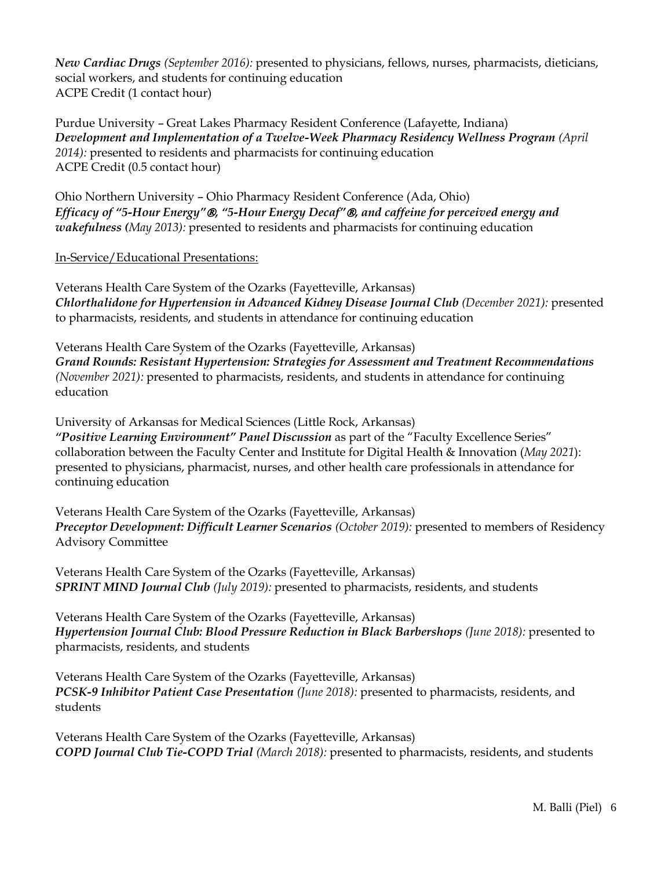*New Cardiac Drugs (September 2016):* presented to physicians, fellows, nurses, pharmacists, dieticians, social workers, and students for continuing education ACPE Credit (1 contact hour)

Purdue University – Great Lakes Pharmacy Resident Conference (Lafayette, Indiana) *Development and Implementation of a Twelve-Week Pharmacy Residency Wellness Program (April 2014):* presented to residents and pharmacists for continuing education ACPE Credit (0.5 contact hour)

Ohio Northern University – Ohio Pharmacy Resident Conference (Ada, Ohio) *Efficacy of "5-Hour Energy", "5-Hour Energy Decaf", and caffeine for perceived energy and wakefulness (May 2013):* presented to residents and pharmacists for continuing education

In-Service/Educational Presentations:

Veterans Health Care System of the Ozarks (Fayetteville, Arkansas) *Chlorthalidone for Hypertension in Advanced Kidney Disease Journal Club (December 2021):* presented to pharmacists, residents, and students in attendance for continuing education

Veterans Health Care System of the Ozarks (Fayetteville, Arkansas) *Grand Rounds: Resistant Hypertension: Strategies for Assessment and Treatment Recommendations (November 2021):* presented to pharmacists, residents, and students in attendance for continuing education

University of Arkansas for Medical Sciences (Little Rock, Arkansas)

*"Positive Learning Environment" Panel Discussion* as part of the "Faculty Excellence Series" collaboration between the Faculty Center and Institute for Digital Health & Innovation (*May 2021*): presented to physicians, pharmacist, nurses, and other health care professionals in attendance for continuing education

Veterans Health Care System of the Ozarks (Fayetteville, Arkansas) *Preceptor Development: Difficult Learner Scenarios (October 2019): presented to members of Residency* Advisory Committee

Veterans Health Care System of the Ozarks (Fayetteville, Arkansas) *SPRINT MIND Journal Club (July 2019):* presented to pharmacists, residents, and students

Veterans Health Care System of the Ozarks (Fayetteville, Arkansas) *Hypertension Journal Club: Blood Pressure Reduction in Black Barbershops (June 2018):* presented to pharmacists, residents, and students

Veterans Health Care System of the Ozarks (Fayetteville, Arkansas) *PCSK-9 Inhibitor Patient Case Presentation (June 2018):* presented to pharmacists, residents, and students

Veterans Health Care System of the Ozarks (Fayetteville, Arkansas) *COPD Journal Club Tie-COPD Trial (March 2018):* presented to pharmacists, residents, and students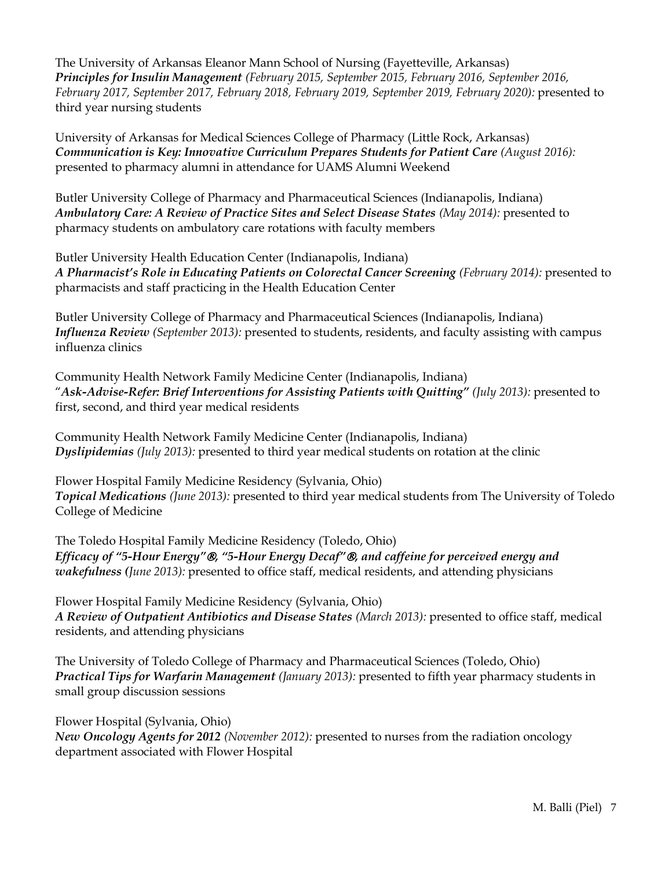The University of Arkansas Eleanor Mann School of Nursing (Fayetteville, Arkansas) *Principles for Insulin Management (February 2015, September 2015, February 2016, September 2016, February 2017, September 2017, February 2018, February 2019, September 2019, February 2020):* presented to third year nursing students

University of Arkansas for Medical Sciences College of Pharmacy (Little Rock, Arkansas) *Communication is Key: Innovative Curriculum Prepares Students for Patient Care (August 2016):* presented to pharmacy alumni in attendance for UAMS Alumni Weekend

Butler University College of Pharmacy and Pharmaceutical Sciences (Indianapolis, Indiana) *Ambulatory Care: A Review of Practice Sites and Select Disease States (May 2014):* presented to pharmacy students on ambulatory care rotations with faculty members

Butler University Health Education Center (Indianapolis, Indiana) *A Pharmacist's Role in Educating Patients on Colorectal Cancer Screening (February 2014):* presented to pharmacists and staff practicing in the Health Education Center

Butler University College of Pharmacy and Pharmaceutical Sciences (Indianapolis, Indiana) *Influenza Review (September 2013):* presented to students, residents, and faculty assisting with campus influenza clinics

Community Health Network Family Medicine Center (Indianapolis, Indiana) "*Ask-Advise-Refer: Brief Interventions for Assisting Patients with Quitting" (July 2013):* presented to first, second, and third year medical residents

Community Health Network Family Medicine Center (Indianapolis, Indiana) *Dyslipidemias (July 2013):* presented to third year medical students on rotation at the clinic

Flower Hospital Family Medicine Residency (Sylvania, Ohio) *Topical Medications (June 2013):* presented to third year medical students from The University of Toledo College of Medicine

The Toledo Hospital Family Medicine Residency (Toledo, Ohio) *Efficacy of "5-Hour Energy", "5-Hour Energy Decaf", and caffeine for perceived energy and wakefulness (June 2013):* presented to office staff, medical residents, and attending physicians

Flower Hospital Family Medicine Residency (Sylvania, Ohio) *A Review of Outpatient Antibiotics and Disease States (March 2013):* presented to office staff, medical residents, and attending physicians

The University of Toledo College of Pharmacy and Pharmaceutical Sciences (Toledo, Ohio) *Practical Tips for Warfarin Management (January 2013):* presented to fifth year pharmacy students in small group discussion sessions

Flower Hospital (Sylvania, Ohio) *New Oncology Agents for 2012 (November 2012):* presented to nurses from the radiation oncology department associated with Flower Hospital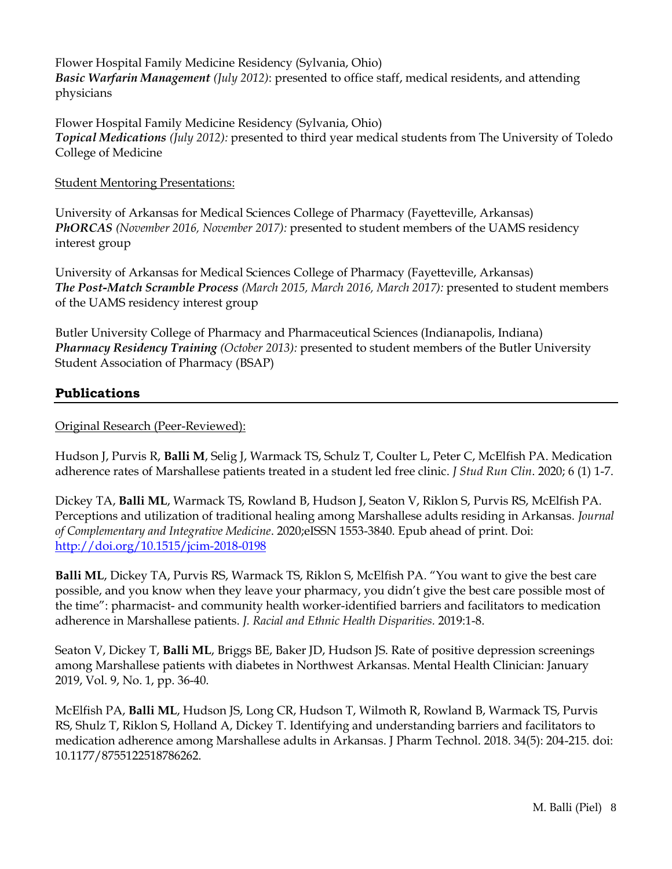Flower Hospital Family Medicine Residency (Sylvania, Ohio) *Basic Warfarin Management (July 2012)*: presented to office staff, medical residents, and attending physicians

Flower Hospital Family Medicine Residency (Sylvania, Ohio) *Topical Medications (July 2012):* presented to third year medical students from The University of Toledo College of Medicine

#### Student Mentoring Presentations:

University of Arkansas for Medical Sciences College of Pharmacy (Fayetteville, Arkansas) *PhORCAS (November 2016, November 2017):* presented to student members of the UAMS residency interest group

University of Arkansas for Medical Sciences College of Pharmacy (Fayetteville, Arkansas) *The Post-Match Scramble Process (March 2015, March 2016, March 2017):* presented to student members of the UAMS residency interest group

Butler University College of Pharmacy and Pharmaceutical Sciences (Indianapolis, Indiana) *Pharmacy Residency Training (October 2013):* presented to student members of the Butler University Student Association of Pharmacy (BSAP)

#### **Publications**

#### Original Research (Peer-Reviewed):

Hudson J, Purvis R, **Balli M**, Selig J, Warmack TS, Schulz T, Coulter L, Peter C, McElfish PA. Medication adherence rates of Marshallese patients treated in a student led free clinic. *J Stud Run Clin*. 2020; 6 (1) 1-7.

Dickey TA, **Balli ML**, Warmack TS, Rowland B, Hudson J, Seaton V, Riklon S, Purvis RS, McElfish PA. Perceptions and utilization of traditional healing among Marshallese adults residing in Arkansas. *Journal of Complementary and Integrative Medicine*. 2020;eISSN 1553-3840. Epub ahead of print. Doi: <http://doi.org/10.1515/jcim-2018-0198>

**Balli ML**, Dickey TA, Purvis RS, Warmack TS, Riklon S, McElfish PA. "You want to give the best care possible, and you know when they leave your pharmacy, you didn't give the best care possible most of the time": pharmacist- and community health worker-identified barriers and facilitators to medication adherence in Marshallese patients. *J. Racial and Ethnic Health Disparities.* 2019:1-8.

Seaton V, Dickey T, **Balli ML**, Briggs BE, Baker JD, Hudson JS. Rate of positive depression screenings among Marshallese patients with diabetes in Northwest Arkansas. Mental Health Clinician: January 2019, Vol. 9, No. 1, pp. 36-40.

McElfish PA, **Balli ML**, Hudson JS, Long CR, Hudson T, Wilmoth R, Rowland B, Warmack TS, Purvis RS, Shulz T, Riklon S, Holland A, Dickey T. Identifying and understanding barriers and facilitators to medication adherence among Marshallese adults in Arkansas. J Pharm Technol. 2018. 34(5): 204-215. doi: 10.1177/8755122518786262.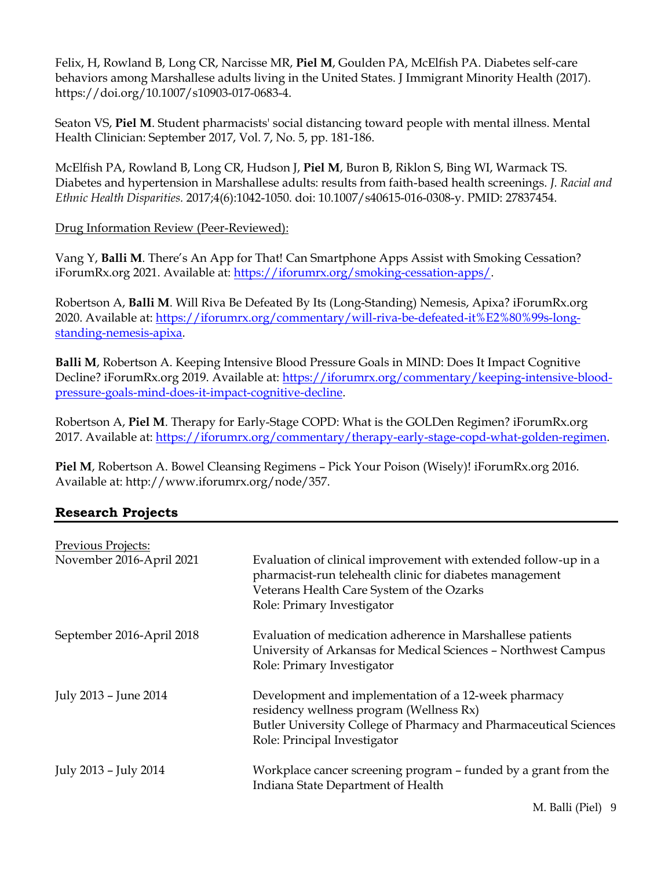Felix, H, Rowland B, Long CR, Narcisse MR, **Piel M**, Goulden PA, McElfish PA. Diabetes self-care behaviors among Marshallese adults living in the United States. J Immigrant Minority Health (2017). https://doi.org/10.1007/s10903-017-0683-4.

Seaton VS, **Piel M**. Student pharmacists' social distancing toward people with mental illness. Mental Health Clinician: September 2017, Vol. 7, No. 5, pp. 181-186.

McElfish PA, Rowland B, Long CR, Hudson J, **Piel M**, Buron B, Riklon S, Bing WI, Warmack TS. Diabetes and hypertension in Marshallese adults: results from faith-based health screenings. *J. Racial and Ethnic Health Disparities.* 2017;4(6):1042-1050. doi: 10.1007/s40615-016-0308-y. PMID: 27837454.

Drug Information Review (Peer-Reviewed):

Vang Y, **Balli M**. There's An App for That! Can Smartphone Apps Assist with Smoking Cessation? iForumRx.org 2021. Available at: [https://iforumrx.org/smoking-cessation-apps/.](https://iforumrx.org/smoking-cessation-apps/)

Robertson A, **Balli M**. Will Riva Be Defeated By Its (Long-Standing) Nemesis, Apixa? iForumRx.org 2020. Available at: [https://iforumrx.org/commentary/will-riva-be-defeated-it%E2%80%99s-long](https://iforumrx.org/commentary/will-riva-be-defeated-it%E2%80%99s-long-standing-nemesis-apixa)[standing-nemesis-apixa.](https://iforumrx.org/commentary/will-riva-be-defeated-it%E2%80%99s-long-standing-nemesis-apixa)

**Balli M**, Robertson A. Keeping Intensive Blood Pressure Goals in MIND: Does It Impact Cognitive Decline? iForumRx.org 2019. Available at: [https://iforumrx.org/commentary/keeping-intensive-blood](https://iforumrx.org/commentary/keeping-intensive-blood-pressure-goals-mind-does-it-impact-cognitive-decline)[pressure-goals-mind-does-it-impact-cognitive-decline.](https://iforumrx.org/commentary/keeping-intensive-blood-pressure-goals-mind-does-it-impact-cognitive-decline)

Robertson A, **Piel M**. Therapy for Early-Stage COPD: What is the GOLDen Regimen? iForumRx.org 2017. Available at: [https://iforumrx.org/commentary/therapy-early-stage-copd-what-golden-regimen.](https://iforumrx.org/commentary/therapy-early-stage-copd-what-golden-regimen)

**Piel M**, Robertson A. Bowel Cleansing Regimens – Pick Your Poison (Wisely)! iForumRx.org 2016. Available at: http://www.iforumrx.org/node/357.

## **Research Projects**

| Previous Projects:<br>November 2016-April 2021 | Evaluation of clinical improvement with extended follow-up in a<br>pharmacist-run telehealth clinic for diabetes management<br>Veterans Health Care System of the Ozarks<br>Role: Primary Investigator |
|------------------------------------------------|--------------------------------------------------------------------------------------------------------------------------------------------------------------------------------------------------------|
| September 2016-April 2018                      | Evaluation of medication adherence in Marshallese patients<br>University of Arkansas for Medical Sciences - Northwest Campus<br>Role: Primary Investigator                                             |
| July 2013 - June 2014                          | Development and implementation of a 12-week pharmacy<br>residency wellness program (Wellness Rx)<br>Butler University College of Pharmacy and Pharmaceutical Sciences<br>Role: Principal Investigator  |
| July 2013 - July 2014                          | Workplace cancer screening program - funded by a grant from the<br>Indiana State Department of Health                                                                                                  |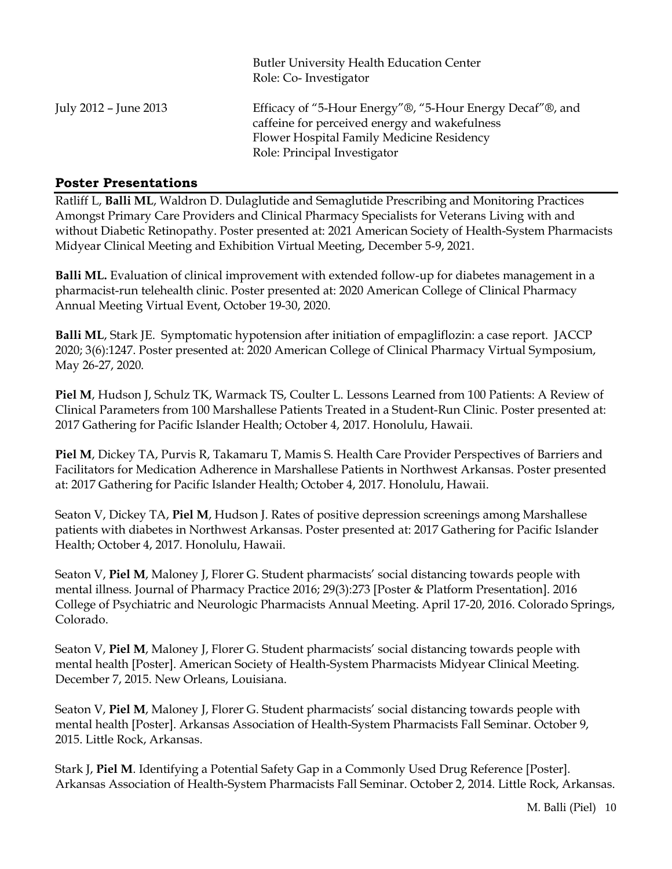|                       | <b>Butler University Health Education Center</b><br>Role: Co-Investigator                                                                                                               |
|-----------------------|-----------------------------------------------------------------------------------------------------------------------------------------------------------------------------------------|
| July 2012 – June 2013 | Efficacy of "5-Hour Energy"®, "5-Hour Energy Decaf"®, and<br>caffeine for perceived energy and wakefulness<br>Flower Hospital Family Medicine Residency<br>Role: Principal Investigator |

### **Poster Presentations**

Ratliff L, **Balli ML**, Waldron D. Dulaglutide and Semaglutide Prescribing and Monitoring Practices Amongst Primary Care Providers and Clinical Pharmacy Specialists for Veterans Living with and without Diabetic Retinopathy. Poster presented at: 2021 American Society of Health-System Pharmacists Midyear Clinical Meeting and Exhibition Virtual Meeting, December 5-9, 2021.

**Balli ML.** Evaluation of clinical improvement with extended follow-up for diabetes management in a pharmacist-run telehealth clinic. Poster presented at: 2020 American College of Clinical Pharmacy Annual Meeting Virtual Event, October 19-30, 2020.

**Balli ML**, Stark JE. Symptomatic hypotension after initiation of empagliflozin: a case report. JACCP 2020; 3(6):1247. Poster presented at: 2020 American College of Clinical Pharmacy Virtual Symposium, May 26-27, 2020.

**Piel M**, Hudson J, Schulz TK, Warmack TS, Coulter L. Lessons Learned from 100 Patients: A Review of Clinical Parameters from 100 Marshallese Patients Treated in a Student-Run Clinic. Poster presented at: 2017 Gathering for Pacific Islander Health; October 4, 2017. Honolulu, Hawaii.

**Piel M**, Dickey TA, Purvis R, Takamaru T, Mamis S. Health Care Provider Perspectives of Barriers and Facilitators for Medication Adherence in Marshallese Patients in Northwest Arkansas. Poster presented at: 2017 Gathering for Pacific Islander Health; October 4, 2017. Honolulu, Hawaii.

Seaton V, Dickey TA, **Piel M**, Hudson J. Rates of positive depression screenings among Marshallese patients with diabetes in Northwest Arkansas. Poster presented at: 2017 Gathering for Pacific Islander Health; October 4, 2017. Honolulu, Hawaii.

Seaton V, **Piel M**, Maloney J, Florer G. Student pharmacists' social distancing towards people with mental illness. Journal of Pharmacy Practice 2016; 29(3):273 [Poster & Platform Presentation]. 2016 College of Psychiatric and Neurologic Pharmacists Annual Meeting. April 17-20, 2016. Colorado Springs, Colorado.

Seaton V, **Piel M**, Maloney J, Florer G. Student pharmacists' social distancing towards people with mental health [Poster]. American Society of Health-System Pharmacists Midyear Clinical Meeting. December 7, 2015. New Orleans, Louisiana.

Seaton V, **Piel M**, Maloney J, Florer G. Student pharmacists' social distancing towards people with mental health [Poster]. Arkansas Association of Health-System Pharmacists Fall Seminar. October 9, 2015. Little Rock, Arkansas.

Stark J, **Piel M**. Identifying a Potential Safety Gap in a Commonly Used Drug Reference [Poster]. Arkansas Association of Health-System Pharmacists Fall Seminar. October 2, 2014. Little Rock, Arkansas.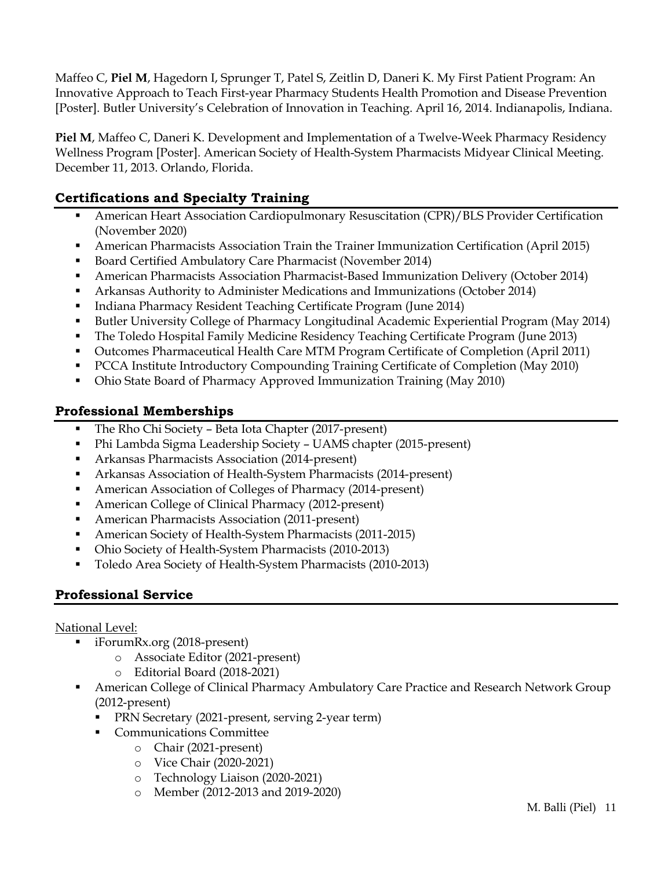Maffeo C, **Piel M**, Hagedorn I, Sprunger T, Patel S, Zeitlin D, Daneri K. My First Patient Program: An Innovative Approach to Teach First-year Pharmacy Students Health Promotion and Disease Prevention [Poster]. Butler University's Celebration of Innovation in Teaching. April 16, 2014. Indianapolis, Indiana.

**Piel M**, Maffeo C, Daneri K. Development and Implementation of a Twelve-Week Pharmacy Residency Wellness Program [Poster]. American Society of Health-System Pharmacists Midyear Clinical Meeting. December 11, 2013. Orlando, Florida.

## **Certifications and Specialty Training**

- **EXECUTE:** American Heart Association Cardiopulmonary Resuscitation (CPR)/BLS Provider Certification (November 2020)
- **•** American Pharmacists Association Train the Trainer Immunization Certification (April 2015)
- Board Certified Ambulatory Care Pharmacist (November 2014)
- American Pharmacists Association Pharmacist-Based Immunization Delivery (October 2014)
- Arkansas Authority to Administer Medications and Immunizations (October 2014)
- Indiana Pharmacy Resident Teaching Certificate Program (June 2014)
- Butler University College of Pharmacy Longitudinal Academic Experiential Program (May 2014)
- The Toledo Hospital Family Medicine Residency Teaching Certificate Program (June 2013)
- Outcomes Pharmaceutical Health Care MTM Program Certificate of Completion (April 2011)
- PCCA Institute Introductory Compounding Training Certificate of Completion (May 2010)
- Ohio State Board of Pharmacy Approved Immunization Training (May 2010)

## **Professional Memberships**

- The Rho Chi Society Beta Iota Chapter (2017-present)
- Phi Lambda Sigma Leadership Society UAMS chapter (2015-present)
- Arkansas Pharmacists Association (2014-present)
- Arkansas Association of Health-System Pharmacists (2014-present)
- American Association of Colleges of Pharmacy (2014-present)
- American College of Clinical Pharmacy (2012-present)
- American Pharmacists Association (2011-present)
- American Society of Health-System Pharmacists (2011-2015)
- Ohio Society of Health-System Pharmacists (2010-2013)
- Toledo Area Society of Health-System Pharmacists (2010-2013)

## **Professional Service**

## National Level:

- iForumRx.org (2018-present)
	- o Associate Editor (2021-present)
	- o Editorial Board (2018-2021)
- American College of Clinical Pharmacy Ambulatory Care Practice and Research Network Group (2012-present)
	- PRN Secretary (2021-present, serving 2-year term)
	- **Communications Committee** 
		- o Chair (2021-present)
		- o Vice Chair (2020-2021)
		- o Technology Liaison (2020-2021)
		- o Member (2012-2013 and 2019-2020)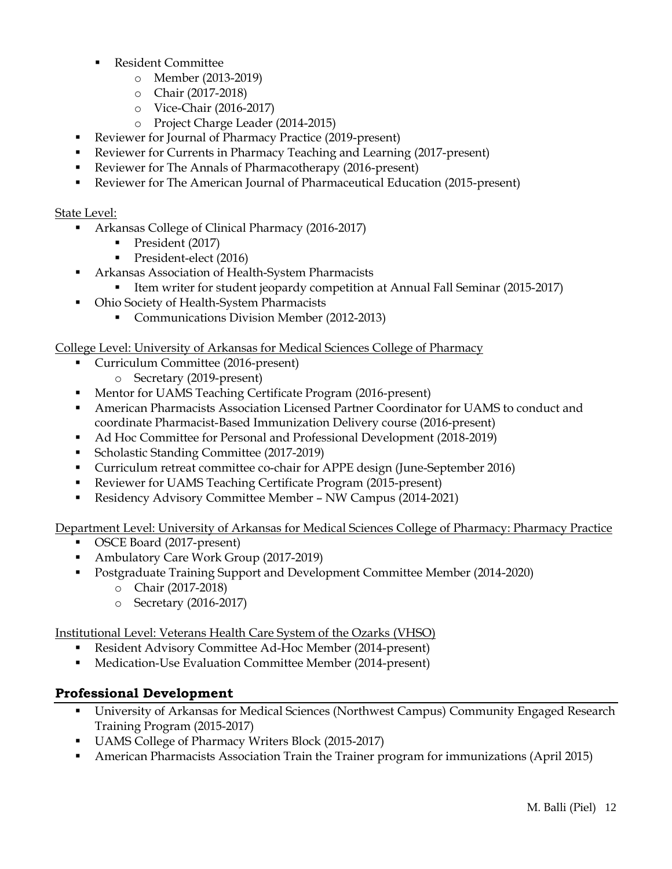- **Resident Committee** 
	- o Member (2013-2019)
	- o Chair (2017-2018)
	- o Vice-Chair (2016-2017)
	- o Project Charge Leader (2014-2015)
- Reviewer for Journal of Pharmacy Practice (2019-present)
- Reviewer for Currents in Pharmacy Teaching and Learning (2017-present)
- Reviewer for The Annals of Pharmacotherapy (2016-present)
- Reviewer for The American Journal of Pharmaceutical Education (2015-present)

#### State Level:

- Arkansas College of Clinical Pharmacy (2016-2017)
	- President (2017)
	- President-elect (2016)
- Arkansas Association of Health-System Pharmacists
	- Item writer for student jeopardy competition at Annual Fall Seminar (2015-2017)
- Ohio Society of Health-System Pharmacists
	- Communications Division Member (2012-2013)

College Level: University of Arkansas for Medical Sciences College of Pharmacy

- Curriculum Committee (2016-present)
	- o Secretary (2019-present)
- Mentor for UAMS Teaching Certificate Program (2016-present)
- **American Pharmacists Association Licensed Partner Coordinator for UAMS to conduct and** coordinate Pharmacist-Based Immunization Delivery course (2016-present)
- Ad Hoc Committee for Personal and Professional Development (2018-2019)
- Scholastic Standing Committee (2017-2019)
- Curriculum retreat committee co-chair for APPE design (June-September 2016)
- Reviewer for UAMS Teaching Certificate Program (2015-present)
- Residency Advisory Committee Member NW Campus (2014-2021)

Department Level: University of Arkansas for Medical Sciences College of Pharmacy: Pharmacy Practice

- OSCE Board (2017-present)
- Ambulatory Care Work Group (2017-2019)
- Postgraduate Training Support and Development Committee Member (2014-2020)
	- o Chair (2017-2018)
	- o Secretary (2016-2017)

Institutional Level: Veterans Health Care System of the Ozarks (VHSO)

- Resident Advisory Committee Ad-Hoc Member (2014-present)
- Medication-Use Evaluation Committee Member (2014-present)

## **Professional Development**

- University of Arkansas for Medical Sciences (Northwest Campus) Community Engaged Research Training Program (2015-2017)
- UAMS College of Pharmacy Writers Block (2015-2017)
- **American Pharmacists Association Train the Trainer program for immunizations (April 2015)**